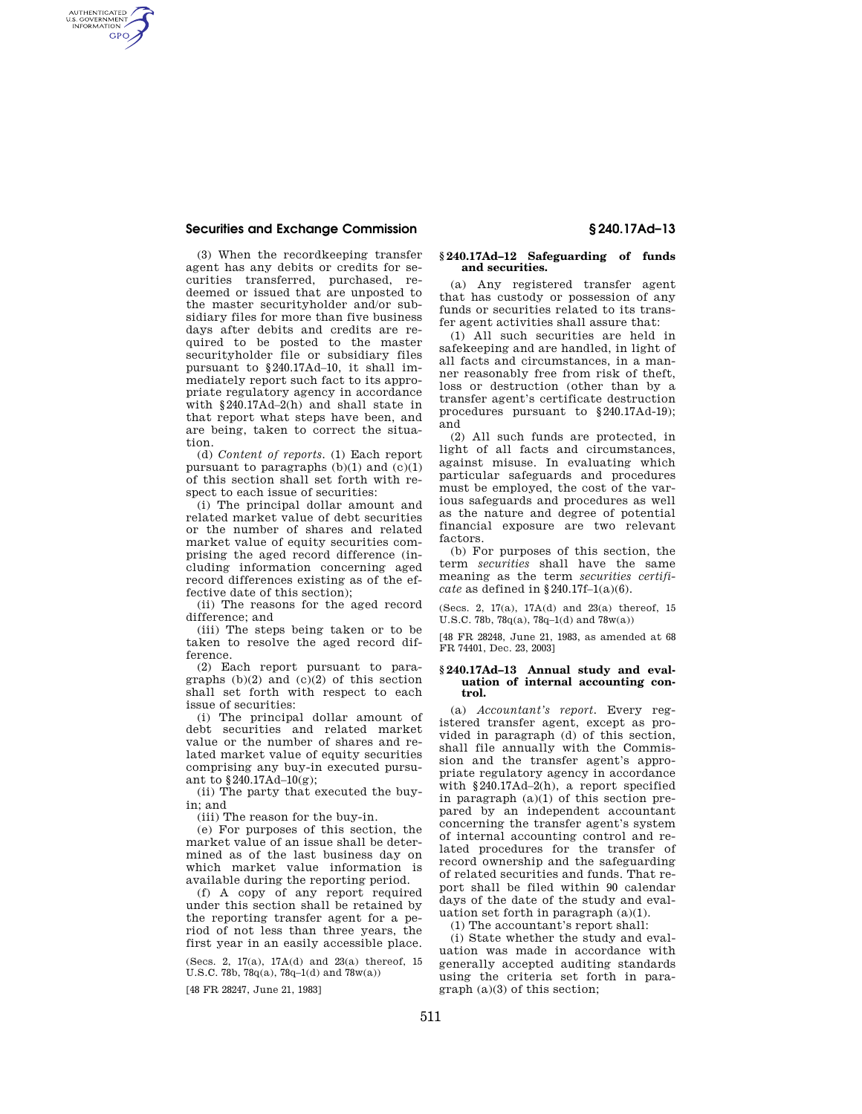## **Securities and Exchange Commission § 240.17Ad–13**

AUTHENTICATED<br>U.S. GOVERNMENT<br>INFORMATION **GPO** 

> (3) When the recordkeeping transfer agent has any debits or credits for securities transferred, purchased, redeemed or issued that are unposted to the master securityholder and/or subsidiary files for more than five business days after debits and credits are required to be posted to the master securityholder file or subsidiary files pursuant to §240.17Ad–10, it shall immediately report such fact to its appropriate regulatory agency in accordance with §240.17Ad–2(h) and shall state in that report what steps have been, and are being, taken to correct the situation.

(d) *Content of reports.* (1) Each report pursuant to paragraphs  $(b)(1)$  and  $(c)(1)$ of this section shall set forth with respect to each issue of securities:

(i) The principal dollar amount and related market value of debt securities or the number of shares and related market value of equity securities comprising the aged record difference (including information concerning aged record differences existing as of the effective date of this section);

(ii) The reasons for the aged record difference; and

(iii) The steps being taken or to be taken to resolve the aged record difference.

(2) Each report pursuant to paragraphs  $(b)(2)$  and  $(c)(2)$  of this section shall set forth with respect to each issue of securities:

(i) The principal dollar amount of debt securities and related market value or the number of shares and related market value of equity securities comprising any buy-in executed pursuant to §240.17Ad–10(g);

(ii) The party that executed the buyin; and

(iii) The reason for the buy-in.

(e) For purposes of this section, the market value of an issue shall be determined as of the last business day on which market value information is available during the reporting period.

(f) A copy of any report required under this section shall be retained by the reporting transfer agent for a period of not less than three years, the first year in an easily accessible place.

(Secs. 2, 17(a), 17A(d) and 23(a) thereof, 15 U.S.C. 78b, 78q(a), 78q-1(d) and  $78w(a)$ )

[48 FR 28247, June 21, 1983]

### **§ 240.17Ad–12 Safeguarding of funds and securities.**

(a) Any registered transfer agent that has custody or possession of any funds or securities related to its transfer agent activities shall assure that:

(1) All such securities are held in safekeeping and are handled, in light of all facts and circumstances, in a manner reasonably free from risk of theft, loss or destruction (other than by a transfer agent's certificate destruction procedures pursuant to §240.17Ad-19); and

(2) All such funds are protected, in light of all facts and circumstances, against misuse. In evaluating which particular safeguards and procedures must be employed, the cost of the various safeguards and procedures as well as the nature and degree of potential financial exposure are two relevant factors.

(b) For purposes of this section, the term *securities* shall have the same meaning as the term *securities certificate* as defined in §240.17f–1(a)(6).

(Secs. 2, 17(a), 17A(d) and 23(a) thereof, 15 U.S.C. 78b, 78q(a), 78q–1(d) and 78w(a))

[48 FR 28248, June 21, 1983, as amended at 68 FR 74401, Dec. 23, 2003]

## **§ 240.17Ad–13 Annual study and evaluation of internal accounting control.**

(a) *Accountant's report.* Every registered transfer agent, except as provided in paragraph (d) of this section, shall file annually with the Commission and the transfer agent's appropriate regulatory agency in accordance with §240.17Ad–2(h), a report specified in paragraph (a)(1) of this section prepared by an independent accountant concerning the transfer agent's system of internal accounting control and related procedures for the transfer of record ownership and the safeguarding of related securities and funds. That report shall be filed within 90 calendar days of the date of the study and evaluation set forth in paragraph (a)(1).

(1) The accountant's report shall:

(i) State whether the study and evaluation was made in accordance with generally accepted auditing standards using the criteria set forth in para $graph (a)(3)$  of this section;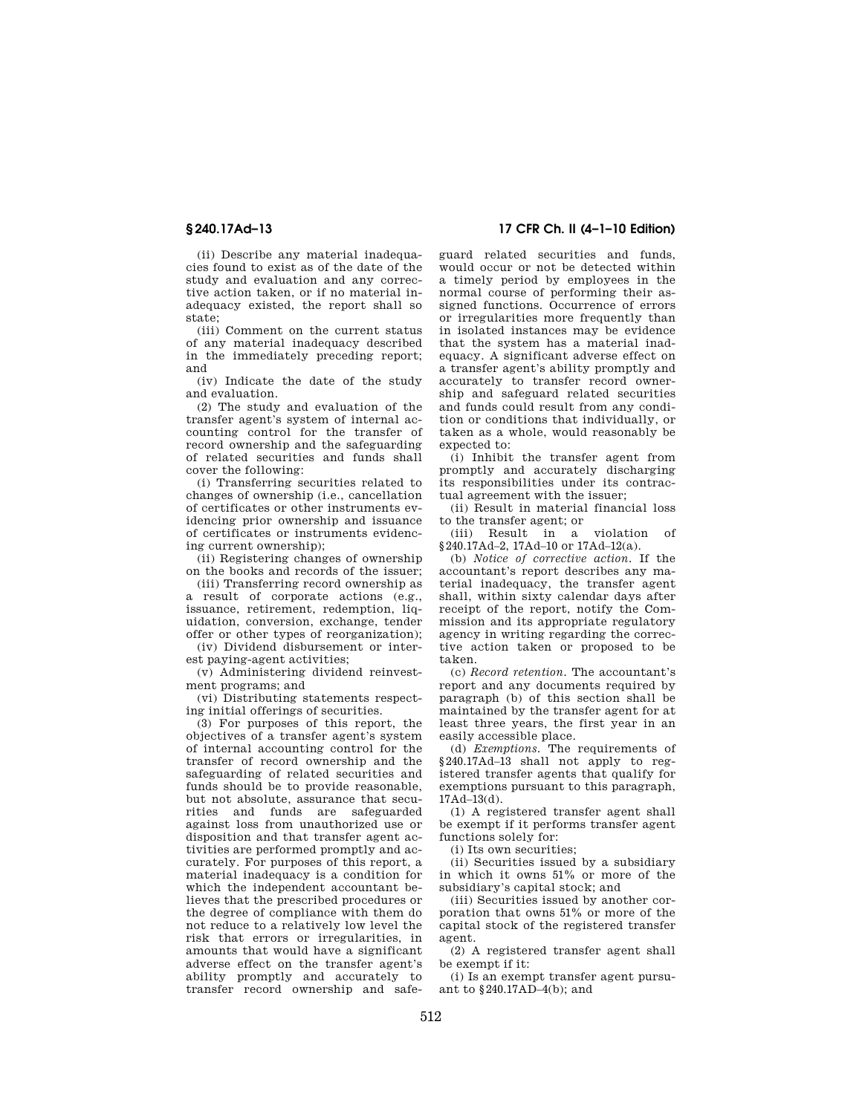(ii) Describe any material inadequacies found to exist as of the date of the study and evaluation and any corrective action taken, or if no material inadequacy existed, the report shall so state;

(iii) Comment on the current status of any material inadequacy described in the immediately preceding report; and

(iv) Indicate the date of the study and evaluation.

(2) The study and evaluation of the transfer agent's system of internal accounting control for the transfer of record ownership and the safeguarding of related securities and funds shall cover the following:

(i) Transferring securities related to changes of ownership (i.e., cancellation of certificates or other instruments evidencing prior ownership and issuance of certificates or instruments evidencing current ownership);

(ii) Registering changes of ownership on the books and records of the issuer;

(iii) Transferring record ownership as a result of corporate actions (e.g., issuance, retirement, redemption, liquidation, conversion, exchange, tender offer or other types of reorganization);

(iv) Dividend disbursement or interest paying-agent activities;

(v) Administering dividend reinvestment programs; and

(vi) Distributing statements respecting initial offerings of securities.

(3) For purposes of this report, the objectives of a transfer agent's system of internal accounting control for the transfer of record ownership and the safeguarding of related securities and funds should be to provide reasonable, but not absolute, assurance that securities and funds are safeguarded against loss from unauthorized use or disposition and that transfer agent activities are performed promptly and accurately. For purposes of this report, a material inadequacy is a condition for which the independent accountant believes that the prescribed procedures or the degree of compliance with them do not reduce to a relatively low level the risk that errors or irregularities, in amounts that would have a significant adverse effect on the transfer agent's ability promptly and accurately to transfer record ownership and safe-

# **§ 240.17Ad–13 17 CFR Ch. II (4–1–10 Edition)**

guard related securities and funds, would occur or not be detected within a timely period by employees in the normal course of performing their assigned functions. Occurrence of errors or irregularities more frequently than in isolated instances may be evidence that the system has a material inadequacy. A significant adverse effect on a transfer agent's ability promptly and accurately to transfer record ownership and safeguard related securities and funds could result from any condition or conditions that individually, or taken as a whole, would reasonably be expected to:

(i) Inhibit the transfer agent from promptly and accurately discharging its responsibilities under its contractual agreement with the issuer;

(ii) Result in material financial loss to the transfer agent; or

(iii) Result in a violation of §240.17Ad–2, 17Ad–10 or 17Ad–12(a).

(b) *Notice of corrective action.* If the accountant's report describes any material inadequacy, the transfer agent shall, within sixty calendar days after receipt of the report, notify the Commission and its appropriate regulatory agency in writing regarding the corrective action taken or proposed to be taken.

(c) *Record retention.* The accountant's report and any documents required by paragraph (b) of this section shall be maintained by the transfer agent for at least three years, the first year in an easily accessible place.

(d) *Exemptions.* The requirements of §240.17Ad–13 shall not apply to registered transfer agents that qualify for exemptions pursuant to this paragraph, 17Ad–13(d).

(1) A registered transfer agent shall be exempt if it performs transfer agent functions solely for:

(i) Its own securities;

(ii) Securities issued by a subsidiary in which it owns 51% or more of the subsidiary's capital stock; and

(iii) Securities issued by another corporation that owns 51% or more of the capital stock of the registered transfer agent.

(2) A registered transfer agent shall be exempt if it:

(i) Is an exempt transfer agent pursuant to §240.17AD–4(b); and